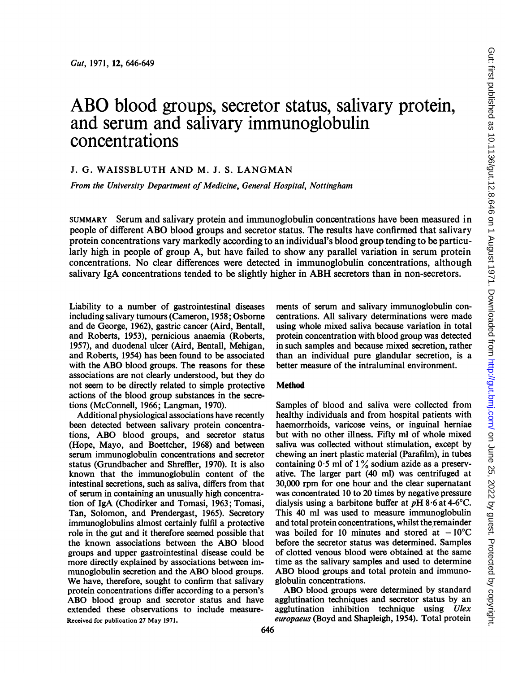# ABO blood groups, secretor status, salivary protein, and serum and salivary immunoglobulin concentrations

## J. G. WAISSBLUTH AND M. J. S. LANGMAN

From the University Department of Medicine, General Hospital, Nottingham

SUMMARY Serum and salivary protein and immunoglobulin concentrations have been measured in people of different ABO blood groups and secretor status. The results have confirmed that salivary protein concentrations vary markedly according to an individual's blood group tending to be particularly high in people of group A, but have failed to show any parallel variation in serum protein concentrations. No clear differences were detected in immunoglobulin concentrations, although salivary IgA concentrations tended to be slightly higher in ABH secretors than in non-secretors.

Liability to a number of gastrointestinal diseases including salivary tumours (Cameron, 1958; Osborne and de George, 1962), gastric cancer (Aird, Bentall, and Roberts, 1953), pernicious anaemia (Roberts, 1957), and duodenal ulcer (Aird, Bentall, Mehigan, and Roberts, 1954) has been found to be associated with the ABO blood groups. The reasons for these associations are not clearly understood, but they do not seem to be directly related to simple protective actions of the blood group substances in the secretions (McConnell, 1966; Langman, 1970).

Additional physiological associations have recently been detected between salivary protein concentrations, ABO blood groups, and secretor status (Hope, Mayo, and Boettcher, 1968) and between serum immunoglobulin concentrations and secretor status (Grundbacher and Shreffier, 1970). It is also known that the immunoglobulin content of the intestinal secretions, such as saliva, differs from that of serum in containing an unusually high concentration of IgA (Chodirker and Tomasi, 1963; Tomasi, Tan, Solomon, and Prendergast, 1965). Secretory immunoglobulins almost certainly fulfil a protective role in the gut and it therefore seemed possible that the known associations between the ABO blood groups and upper gastrointestinal disease could be more directly explained by associations between immunoglobulin secretion and the ABO blood groups. We have, therefore, sought to confirm that salivary protein concentrations differ according to a person's ABO blood group and secretor status and have extended these observations to include measure-Received for publication 27 May 1971.

ments of serum and salivary immunoglobulin concentrations. All salivary determinations were made using whole mixed saliva because variation in total protein concentration with blood group was detected in such samples and because mixed secretion, rather than an individual pure glandular secretion, is a better measure of the intraluminal environment.

## **Method**

Samples of blood and saliva were collected from healthy individuals and from hospital patients with haemorrhoids, varicose veins, or inguinal herniae but with no other illness. Fifty ml of whole mixed saliva was collected without stimulation, except by chewing an inert plastic material (Parafilm), in tubes containing  $0.5$  ml of  $1\%$  sodium azide as a preservative. The larger part (40 ml) was centrifuged at 30,000 rpm for one hour and the clear supernatant was concentrated 10 to 20 times by negative pressure dialysis using a barbitone buffer at  $pH 8.6$  at 4-6°C. This 40 ml was used to measure immunoglobulin and total protein concentrations, whilst the remainder was boiled for 10 minutes and stored at  $-10^{\circ}$ C before the secretor status was determined. Samples of clotted venous blood were obtained at the same time as the salivary samples and used to determine ABO blood groups and total protein and immunoglobulin concentrations.

ABO blood groups were determined by standard agglutination techniques and secretor status by an agglutination inhibition technique using Ulex europaeus (Boyd and Shapleigh, 1954). Total protein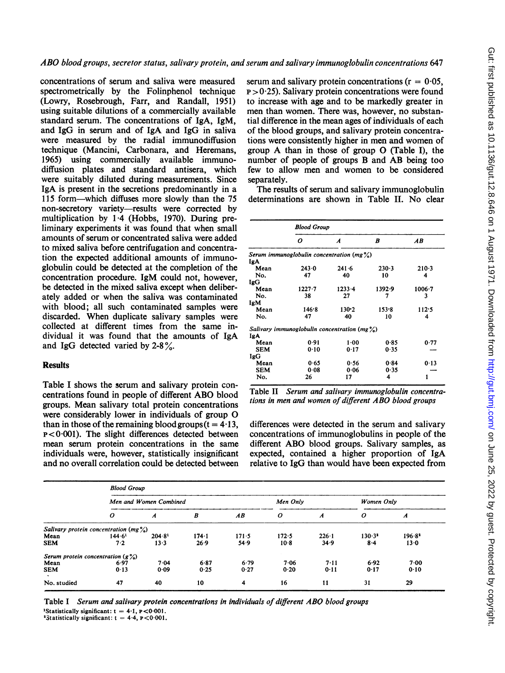concentrations of serum and saliva were measured spectrometrically by the Folinphenol technique (Lowry, Rosebrough, Farr, and Randall, 1951) using suitable dilutions of a commercially available standard serum. The concentrations of IgA, IgM, and IgG in serum and of IgA and IgG in saliva were measured by the radial immunodiffusion technique (Mancini, Carbonara, and Heremans, 1965) using commercially available immunodiffusion plates and standard antisera, which were suitably diluted during measurements. Since IgA is present in the secretions predominantly in a 115 form-which diffuses more slowly than the 75 non-secretory variety—results were corrected by multiplication by 1.4 (Hobbs, 1970). During preliminary experiments it was found that when small amounts of serum or concentrated saliva were added to mixed saliva before centrifugation and concentration the expected additional amounts of immunoglobulin could be detected at the completion of the concentration procedure. IgM could not, however, be detected in the mixed saliva except when deliberately added or when the saliva was contaminated with blood; all such contaminated samples were discarded. When duplicate salivary samples were collected at different times from the same individual it was found that the amounts of IgA and IgG detected varied by  $2-8\%$ .

### **Results**

Table <sup>I</sup> shows the serum and salivary protein concentrations found in people of different ABO blood groups. Mean salivary total protein concentrations were considerably lower in individuals of group O than in those of the remaining blood groups  $(t = 4.13)$ ,  $p < 0.001$ ). The slight differences detected between mean serum protein concentrations in the same individuals were, however, statistically insignificant and no overall correlation could be detected between serum and salivary protein concentrations ( $r = 0.05$ ,  $p > 0.25$ ). Salivary protein concentrations were found to increase with age and to be markedly greater in men than women. There was, however, no substantial difference in the mean ages of individuals of each of the blood groups, and salivary protein concentrations were consistently higher in men and women of group A than in those of group  $O$  (Table I), the number of people of groups B and AB being too few to allow men and women to be considered separately.

The results of serum and salivary immunoglobulin determinations are shown in Table II. No clear

|            | <b>Blood Group</b>                               |                  |        |                 |  |  |
|------------|--------------------------------------------------|------------------|--------|-----------------|--|--|
|            | ο                                                | $\boldsymbol{A}$ | B      | $\overline{AB}$ |  |  |
|            | Serum immunoglobulin concentration $(mg0)$       |                  |        |                 |  |  |
| IgA.       |                                                  |                  |        |                 |  |  |
| Mean       | 243.0                                            | $241 - 6$        | 230.3  | $210-3$         |  |  |
| No.        | 47                                               | 40               | 10     | 4               |  |  |
| IgG        |                                                  |                  |        |                 |  |  |
| Mean       | $1227 - 7$                                       | $1233 - 4$       | 1392.9 | $1006 - 7$      |  |  |
| No.        | 38                                               | 27               | 7      | 3               |  |  |
| <b>IgM</b> |                                                  |                  |        |                 |  |  |
| Mean       | 146.8                                            | 130.2            | 153.8  | 112.5           |  |  |
| No.        | 47                                               | 40               | 10     | 4               |  |  |
|            | Salivary immunoglobulin concentration (mg $\%$ ) |                  |        |                 |  |  |
| Ig A       |                                                  |                  |        |                 |  |  |
| Mean       | 0.91                                             | $1 - 00$         | 0.85   | 0.77            |  |  |
| <b>SEM</b> | 0.10                                             | 0.17             | 0.35   |                 |  |  |
| IgG        |                                                  |                  |        |                 |  |  |
| Mean       | 0.65                                             | 0.56             | 0.84   | 0.13            |  |  |
| <b>SEM</b> | 0.08                                             | 0.06             | 0.35   |                 |  |  |
| No.        | 26                                               | 17               | 4      |                 |  |  |

Table II Serum and salivary immunoglobulin concentrations in men and women of different ABO blood groups

differences were detected in the serum and salivary concentrations of immunoglobulins in people of the different ABO blood groups. Salivary samples, as expected, contained a higher proportion of IgA relative to IgG than would have been expected from

|                                        | <b>Blood Group</b>     |                    |                  |       |                  |               |                  |                    |
|----------------------------------------|------------------------|--------------------|------------------|-------|------------------|---------------|------------------|--------------------|
|                                        | Men and Women Combined |                    |                  |       | Men Only         |               | Women Only       |                    |
|                                        | $\boldsymbol{o}$       | $\boldsymbol{A}$   | $\boldsymbol{B}$ | AB    | $\boldsymbol{o}$ | A             | $\boldsymbol{o}$ | A                  |
| Salivary protein concentration $(mg0)$ |                        |                    |                  |       |                  |               |                  |                    |
| Mean                                   | 144.6 <sup>1</sup>     | 204.8 <sup>1</sup> | 174.1            | 171.5 | 172.5            | $226 \cdot 1$ | $130.3^*$        | 196.8 <sup>2</sup> |
| <b>SEM</b>                             | 7.2                    | $13-3$             | 26.9             | 54.9  | $10-8$           | 34.9          | 8.4              | $13 - 0$           |
| Serum protein concentration $(g\%)$    |                        |                    |                  |       |                  |               |                  |                    |
| Mean                                   | 6.97                   | 7.04               | 6.87             | 6.79  | 7.06             | 7.11          | 6.92             | 7.00               |
| <b>SEM</b>                             | 0.13                   | 0.09               | 0.25             | 0.27  | 0.20             | 0.11          | 0.17             | 0.10               |
| $\sim$                                 |                        |                    |                  |       |                  |               |                  |                    |
| No. studied                            | 47                     | 40                 | 10               | 4     | 16               | 11            | 31               | 29                 |

Table <sup>I</sup> Serum and salivary protein concentrations in individuals of different ABO blood groups <sup>1</sup>Statistically significant:  $t = 4.1$ ,  $p < 0.001$ .

<sup>2</sup>Statistically significant:  $t = 4.4$ ,  $p < 0.001$ .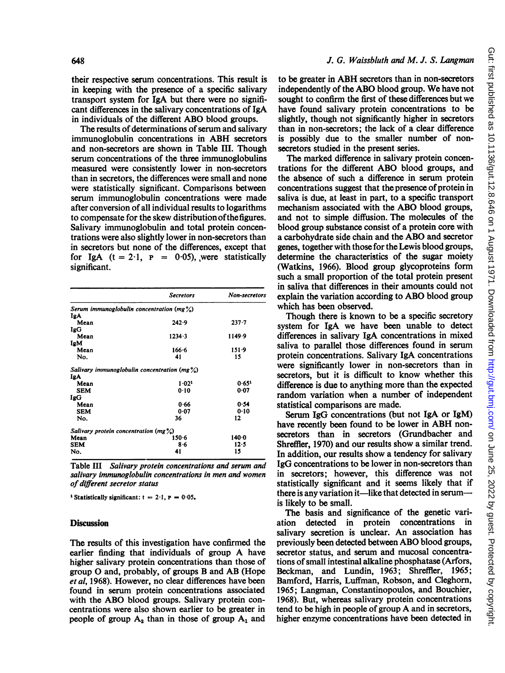their respective serum concentrations. This result is in keeping with the presence of a specific salivary transport system for IgA but there were no significant differences in the salivary concentrations of IgA in individuals of the different ABO blood groups.

The results of determinations of serum and salivary immunoglobulin concentrations in ABH secretors and non-secretors are shown in Table III. Though serum concentrations of the three immunoglobulins measured were consistently lower in non-secretors than in secretors, the differences were small and none were statistically significant. Comparisons between serum immunoglobulin concentrations were made after conversion of all individual results to logarithms to compensate for the skew distribution of the figures. Salivary immunoglobulin and total protein concentrations were also slightly lower in non-secretors than in secretors but none of the differences, except that for IgA  $(t = 2.1, P = 0.05)$ , were statistically significant.

|                                                    | <b>Secretors</b>                                       | <b>Non-secretors</b> |  |
|----------------------------------------------------|--------------------------------------------------------|----------------------|--|
|                                                    | Serum immunoglobulin concentration (mg $\frac{9}{6}$ ) |                      |  |
| IgA                                                |                                                        |                      |  |
| Mean                                               | 242.9                                                  | $237 - 7$            |  |
| IgG                                                |                                                        |                      |  |
| Mean                                               | $1234 - 3$                                             | 1149.9               |  |
| IgM                                                |                                                        |                      |  |
| Mean                                               | $166 - 6$                                              | 151.9                |  |
| No.                                                | 41                                                     | 15                   |  |
|                                                    | Salivary immunoglobulin concentration (mg $\%$ )       |                      |  |
| IgA                                                |                                                        |                      |  |
| Mean                                               | 1.02 <sup>1</sup>                                      | 0.651                |  |
| <b>SEM</b>                                         | 0.10                                                   | 0.07                 |  |
| IgG                                                |                                                        |                      |  |
| Mean                                               | 0.66                                                   | 0.54                 |  |
| <b>SEM</b>                                         | 0.07                                                   | 0.10                 |  |
| No.                                                | 36                                                     | 12                   |  |
| Salivary protein concentration (mg $\frac{9}{6}$ ) |                                                        |                      |  |
| Mean                                               | $150 - 6$                                              | 140.0                |  |
| SEM                                                | 8·6                                                    | 12.5                 |  |
| No.                                                | 41                                                     | 15                   |  |

Table III Salivary protein concentrations and serum and salivary immunoglobulin concentrations in men and women of different secretor status

<sup>1</sup> Statistically significant:  $t = 2.1$ ,  $P = 0.05$ .

#### **Discussion**

The results of this investigation have confirmed the earlier finding that individuals of group A have higher salivary protein concentrations than those of group 0 and, probably, of groups B and AB (Hope et al, 1968). However, no clear differences have been found in serum protein concentrations associated with the ABO blood groups. Salivary protein concentrations were also shown earlier to be greater in people of group  $A_2$  than in those of group  $A_1$  and

## J. G. Waissbluth and M. J. S. Langman

to be greater in ABH secretors than in non-secretors independently of the ABO blood group. We have not sought to confirm the first of these differences but we have found salivary protein concentrations to be slightly, though not significantly higher in secretors than in non-secretors; the lack of a clear difference is possibly due to the smaller number of nonsecretors studied in the present series.

The marked difference in salivary protein concentrations for the different ABO blood groups, and the absence of such a difference in serum protein concentrations suggest that the presence of protein in saliva is due, at least in part, to a specific transport mechanism associated with the ABO blood groups, and not to simple diffusion. The molecules of the blood group substance consist of a protein core with <sup>a</sup> carbohydrate side chain and the ABO and secretor genes, together with those for the Lewis blood groups, determine the characteristics of the sugar moiety (Watkins, 1966). Blood group glycoproteins form such a small proportion of the total protein present in saliva that differences in their amounts could not explain the variation according to ABO blood group which has been observed.

Though there is known to be a specific secretory system for IgA we have been unable to detect differences in salivary IgA concentrations in mixed saliva to parallel those differences found in serum protein concentrations. Salivary IgA concentrations were significantly lower in non-secretors than in secretors, but it is difficult to know whether this difference is due to anything more than the expected random variation when a number of independent statistical comparisons are made.

Serum IgG concentrations (but not IgA or IgM) have recently been found to be lower in ABH nonsecretors than in secretors (Grundbacher and Shreffler, 1970) and our results show a similar trend. In addition, our results show a tendency for salivary IgG concentrations to be lower in non-secretors than in secretors; however, this difference was not statistically significant and it seems likely that if there is any variation it—like that detected in serum is likely to be small.

The basis and significance of the genetic variation detected in protein concentrations in salivary secretion is unclear. An association has previously been detected between ABO blood groups, secretor status, and serum and mucosal concentrations of small intestinal alkaline phosphatase (Arfors, Beckman, and Lundin, 1963; Shreffier, 1965; Bamford, Harris, Luffman, Robson, and Cleghom, 1965; Langman, Constantinopoulos, and Bouchier, 1968). But, whereas salivary protein concentrations tend to be high in people of group A and in secretors, higher enzyme concentrations have been detected in